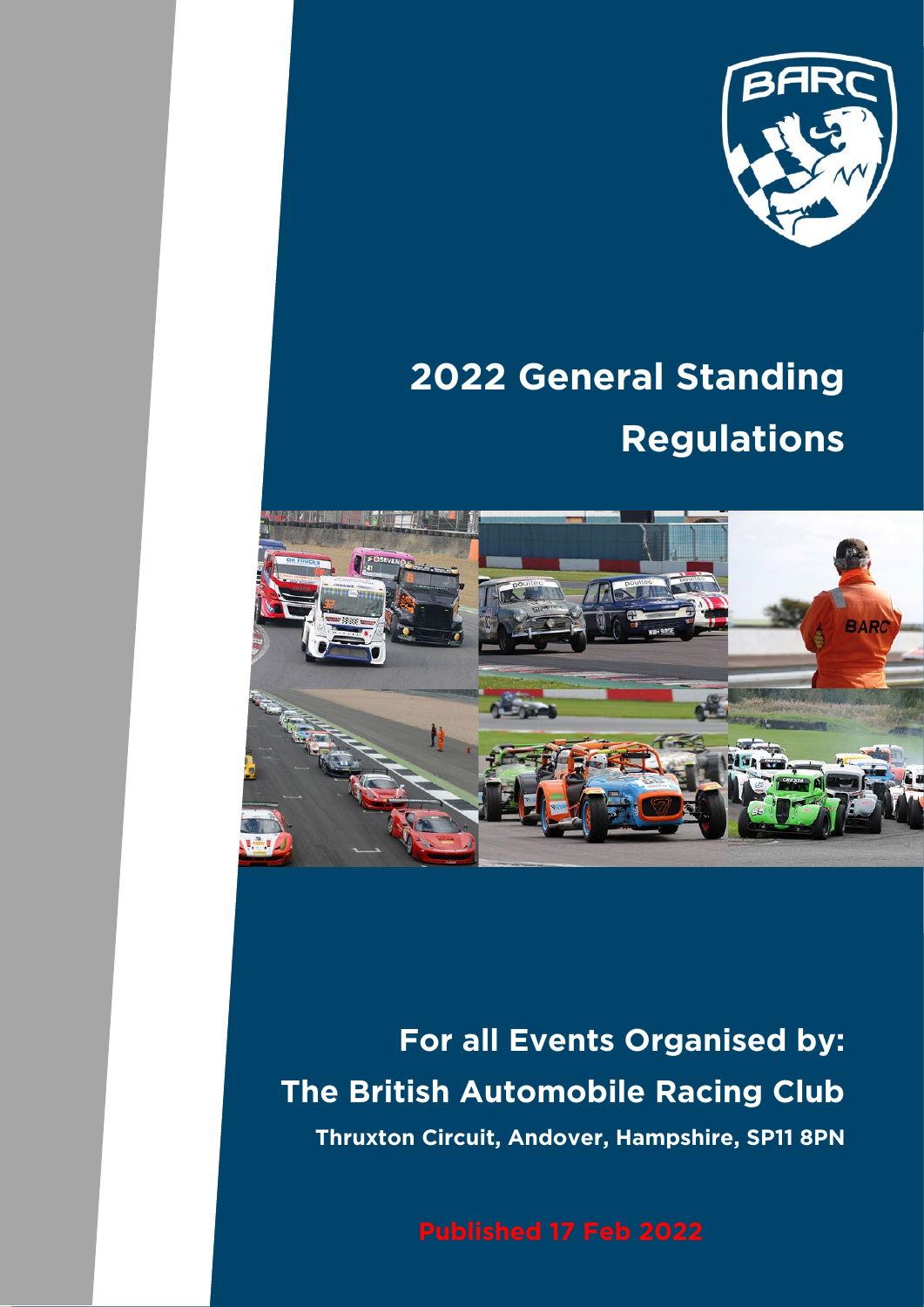

# **2022 General Standing Regulations**



# **For all Events Organised by: The British Automobile Racing Club Thruxton Circuit, Andover, Hampshire, SP11 8PN**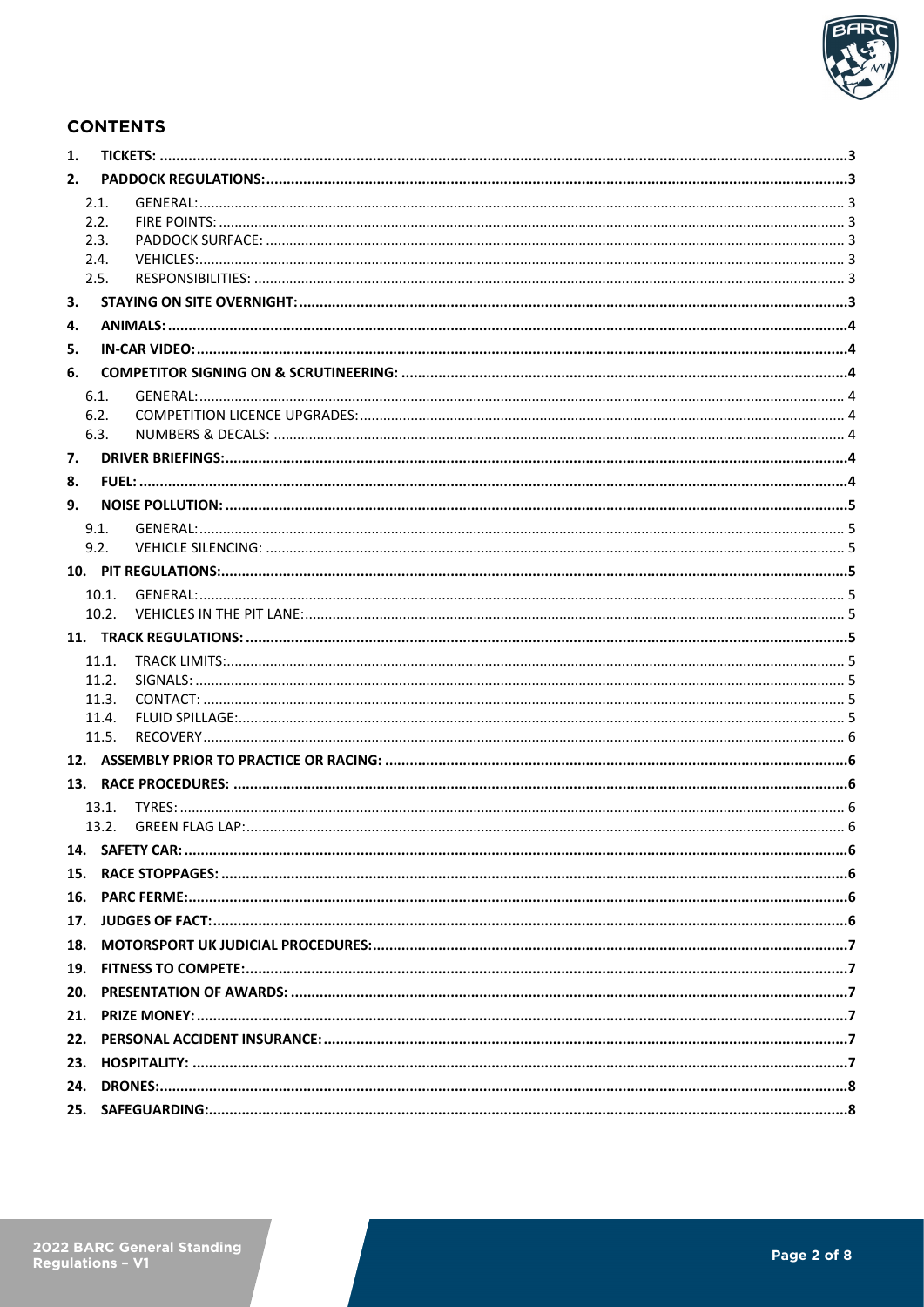

# **CONTENTS**

| 1.  |                |  |
|-----|----------------|--|
| 2.  |                |  |
|     | 2.1.           |  |
|     | 2.2.           |  |
|     | 2.3.           |  |
|     | 2.4.           |  |
|     | 2.5.           |  |
| 3.  |                |  |
| 4.  |                |  |
| 5.  |                |  |
| 6.  |                |  |
|     | 6.1.           |  |
|     | 6.2.           |  |
|     | 6.3.           |  |
| 7.  |                |  |
| 8.  |                |  |
| 9.  |                |  |
|     | 9.1.           |  |
|     | 9.2.           |  |
|     |                |  |
|     | 10.1.          |  |
|     | 10.2.          |  |
|     |                |  |
|     |                |  |
|     | 11.1.<br>11.2. |  |
|     | 11.3.          |  |
|     | 11.4.          |  |
|     | 11.5.          |  |
|     |                |  |
|     |                |  |
|     | 13.1.          |  |
|     | 13.2.          |  |
| 14. |                |  |
| 15. |                |  |
| 16. |                |  |
|     |                |  |
|     |                |  |
| 18. |                |  |
|     |                |  |
| 20. |                |  |
| 21. |                |  |
| 22. |                |  |
| 23. |                |  |
| 24. |                |  |
|     |                |  |
|     |                |  |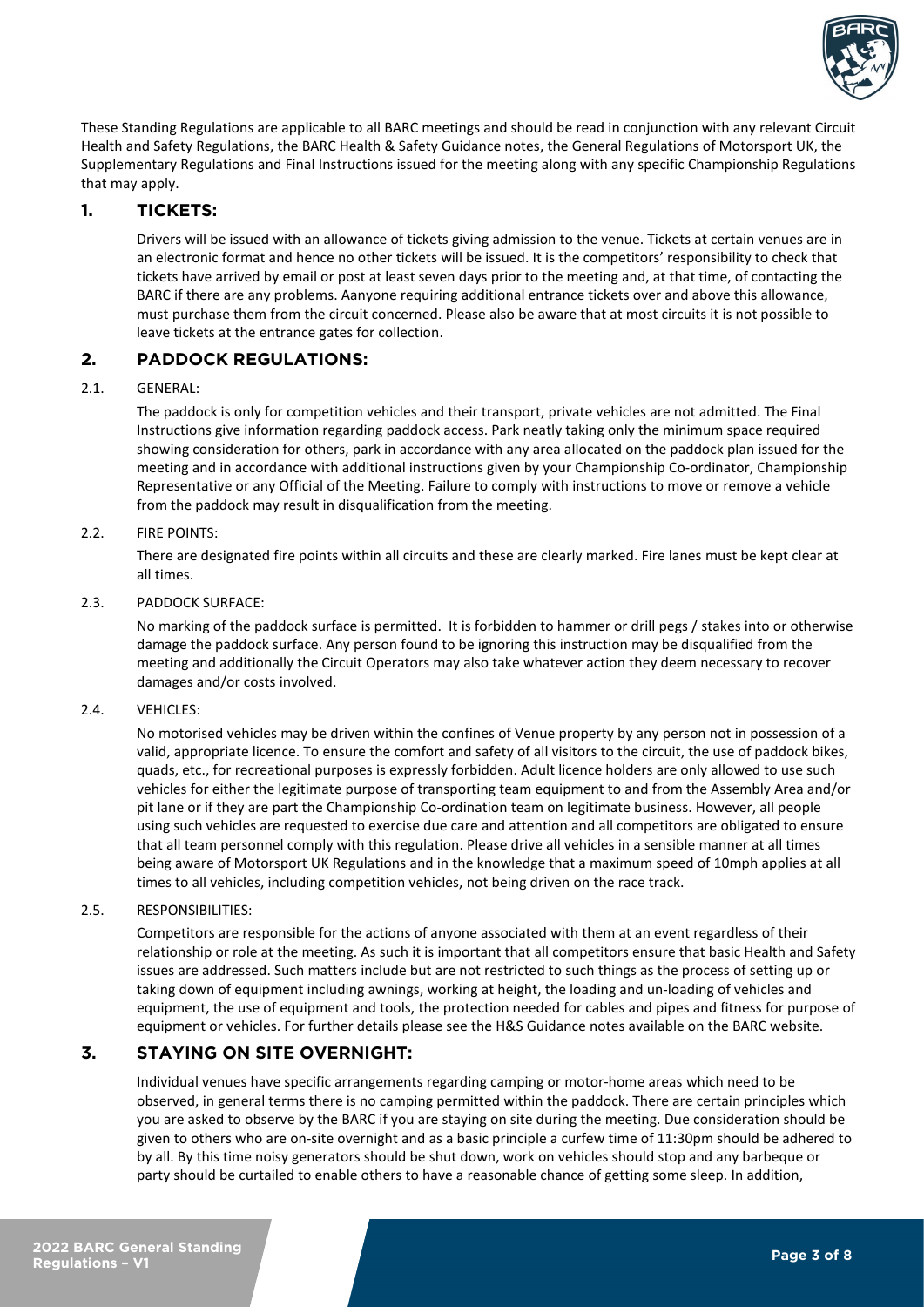

These Standing Regulations are applicable to all BARC meetings and should be read in conjunction with any relevant Circuit Health and Safety Regulations, the BARC Health & Safety Guidance notes, the General Regulations of Motorsport UK, the Supplementary Regulations and Final Instructions issued for the meeting along with any specific Championship Regulations that may apply.

# <span id="page-2-0"></span>**1. TICKETS:**

Drivers will be issued with an allowance of tickets giving admission to the venue. Tickets at certain venues are in an electronic format and hence no other tickets will be issued. It is the competitors' responsibility to check that tickets have arrived by email or post at least seven days prior to the meeting and, at that time, of contacting the BARC if there are any problems. Aanyone requiring additional entrance tickets over and above this allowance, must purchase them from the circuit concerned. Please also be aware that at most circuits it is not possible to leave tickets at the entrance gates for collection.

# <span id="page-2-1"></span>**2. PADDOCK REGULATIONS:**

# <span id="page-2-2"></span>2.1. GENERAL:

The paddock is only for competition vehicles and their transport, private vehicles are not admitted. The Final Instructions give information regarding paddock access. Park neatly taking only the minimum space required showing consideration for others, park in accordance with any area allocated on the paddock plan issued for the meeting and in accordance with additional instructions given by your Championship Co-ordinator, Championship Representative or any Official of the Meeting. Failure to comply with instructions to move or remove a vehicle from the paddock may result in disqualification from the meeting.

# <span id="page-2-3"></span>2.2. FIRE POINTS:

There are designated fire points within all circuits and these are clearly marked. Fire lanes must be kept clear at all times.

# <span id="page-2-4"></span>2.3. PADDOCK SURFACE:

No marking of the paddock surface is permitted. It is forbidden to hammer or drill pegs / stakes into or otherwise damage the paddock surface. Any person found to be ignoring this instruction may be disqualified from the meeting and additionally the Circuit Operators may also take whatever action they deem necessary to recover damages and/or costs involved.

#### <span id="page-2-5"></span>2.4. VEHICLES:

No motorised vehicles may be driven within the confines of Venue property by any person not in possession of a valid, appropriate licence. To ensure the comfort and safety of all visitors to the circuit, the use of paddock bikes, quads, etc., for recreational purposes is expressly forbidden. Adult licence holders are only allowed to use such vehicles for either the legitimate purpose of transporting team equipment to and from the Assembly Area and/or pit lane or if they are part the Championship Co-ordination team on legitimate business. However, all people using such vehicles are requested to exercise due care and attention and all competitors are obligated to ensure that all team personnel comply with this regulation. Please drive all vehicles in a sensible manner at all times being aware of Motorsport UK Regulations and in the knowledge that a maximum speed of 10mph applies at all times to all vehicles, including competition vehicles, not being driven on the race track.

# <span id="page-2-6"></span>2.5. RESPONSIBILITIES:

Competitors are responsible for the actions of anyone associated with them at an event regardless of their relationship or role at the meeting. As such it is important that all competitors ensure that basic Health and Safety issues are addressed. Such matters include but are not restricted to such things as the process of setting up or taking down of equipment including awnings, working at height, the loading and un-loading of vehicles and equipment, the use of equipment and tools, the protection needed for cables and pipes and fitness for purpose of equipment or vehicles. For further details please see the H&S Guidance notes available on the BARC website.

# <span id="page-2-7"></span>**3. STAYING ON SITE OVERNIGHT:**

Individual venues have specific arrangements regarding camping or motor-home areas which need to be observed, in general terms there is no camping permitted within the paddock. There are certain principles which you are asked to observe by the BARC if you are staying on site during the meeting. Due consideration should be given to others who are on-site overnight and as a basic principle a curfew time of 11:30pm should be adhered to by all. By this time noisy generators should be shut down, work on vehicles should stop and any barbeque or party should be curtailed to enable others to have a reasonable chance of getting some sleep. In addition,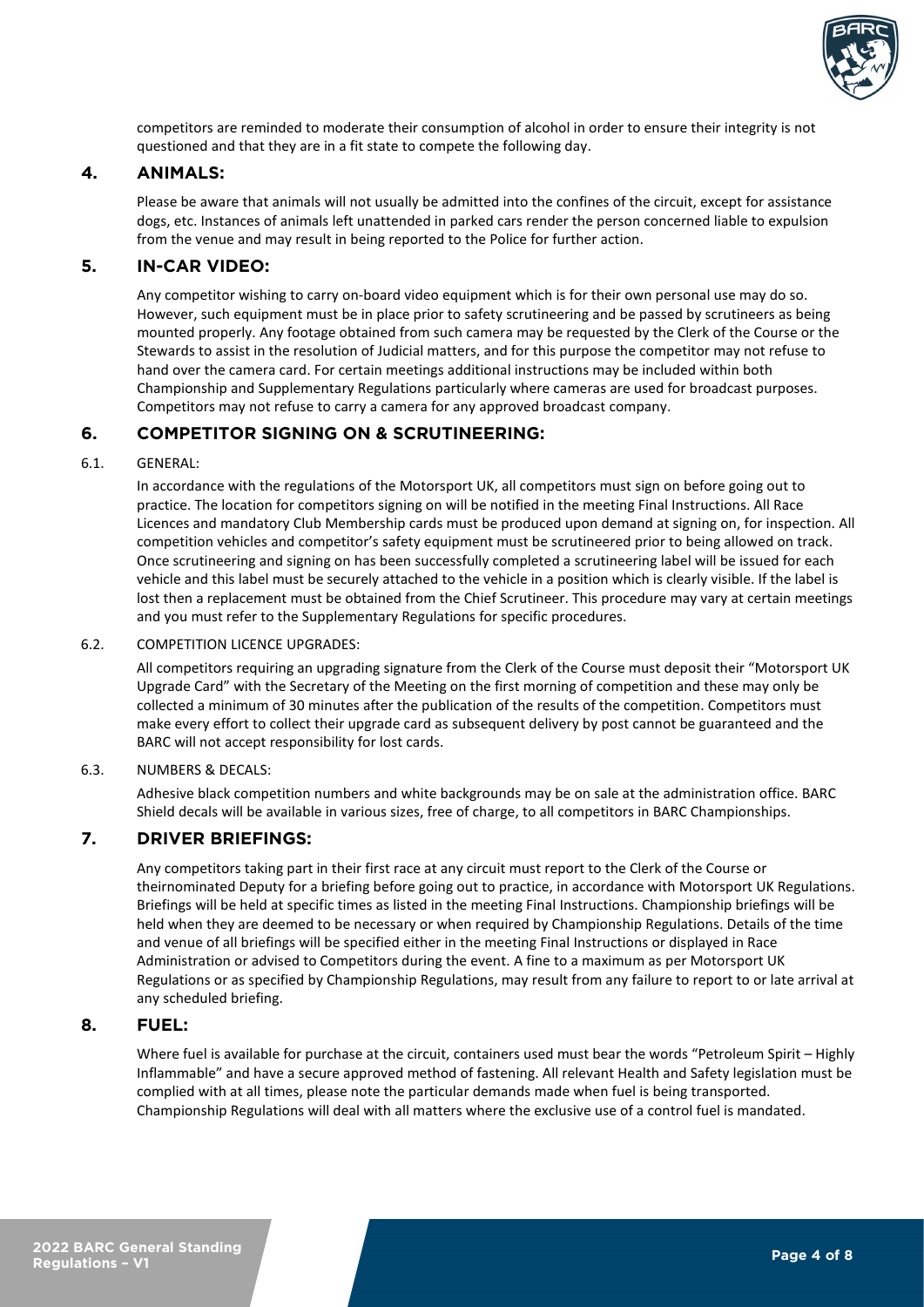

competitors are reminded to moderate their consumption of alcohol in order to ensure their integrity is not questioned and that they are in a fit state to compete the following day.

# <span id="page-3-0"></span>**4. ANIMALS:**

Please be aware that animals will not usually be admitted into the confines of the circuit, except for assistance dogs, etc. Instances of animals left unattended in parked cars render the person concerned liable to expulsion from the venue and may result in being reported to the Police for further action.

# <span id="page-3-1"></span>**5. IN-CAR VIDEO:**

Any competitor wishing to carry on-board video equipment which is for their own personal use may do so. However, such equipment must be in place prior to safety scrutineering and be passed by scrutineers as being mounted properly. Any footage obtained from such camera may be requested by the Clerk of the Course or the Stewards to assist in the resolution of Judicial matters, and for this purpose the competitor may not refuse to hand over the camera card. For certain meetings additional instructions may be included within both Championship and Supplementary Regulations particularly where cameras are used for broadcast purposes. Competitors may not refuse to carry a camera for any approved broadcast company.

# <span id="page-3-2"></span>**6. COMPETITOR SIGNING ON & SCRUTINEERING:**

# <span id="page-3-3"></span>6.1. GENERAL:

In accordance with the regulations of the Motorsport UK, all competitors must sign on before going out to practice. The location for competitors signing on will be notified in the meeting Final Instructions. All Race Licences and mandatory Club Membership cards must be produced upon demand at signing on, for inspection. All competition vehicles and competitor's safety equipment must be scrutineered prior to being allowed on track. Once scrutineering and signing on has been successfully completed a scrutineering label will be issued for each vehicle and this label must be securely attached to the vehicle in a position which is clearly visible. If the label is lost then a replacement must be obtained from the Chief Scrutineer. This procedure may vary at certain meetings and you must refer to the Supplementary Regulations for specific procedures.

# <span id="page-3-4"></span>6.2. COMPETITION LICENCE UPGRADES:

All competitors requiring an upgrading signature from the Clerk of the Course must deposit their "Motorsport UK Upgrade Card" with the Secretary of the Meeting on the first morning of competition and these may only be collected a minimum of 30 minutes after the publication of the results of the competition. Competitors must make every effort to collect their upgrade card as subsequent delivery by post cannot be guaranteed and the BARC will not accept responsibility for lost cards.

#### <span id="page-3-5"></span>6.3. NUMBERS & DECALS:

Adhesive black competition numbers and white backgrounds may be on sale at the administration office. BARC Shield decals will be available in various sizes, free of charge, to all competitors in BARC Championships.

# <span id="page-3-6"></span>**7. DRIVER BRIEFINGS:**

Any competitors taking part in their first race at any circuit must report to the Clerk of the Course or theirnominated Deputy for a briefing before going out to practice, in accordance with Motorsport UK Regulations. Briefings will be held at specific times as listed in the meeting Final Instructions. Championship briefings will be held when they are deemed to be necessary or when required by Championship Regulations. Details of the time and venue of all briefings will be specified either in the meeting Final Instructions or displayed in Race Administration or advised to Competitors during the event. A fine to a maximum as per Motorsport UK Regulations or as specified by Championship Regulations, may result from any failure to report to or late arrival at any scheduled briefing.

# <span id="page-3-7"></span>**8. FUEL:**

Where fuel is available for purchase at the circuit, containers used must bear the words "Petroleum Spirit – Highly Inflammable" and have a secure approved method of fastening. All relevant Health and Safety legislation must be complied with at all times, please note the particular demands made when fuel is being transported. Championship Regulations will deal with all matters where the exclusive use of a control fuel is mandated.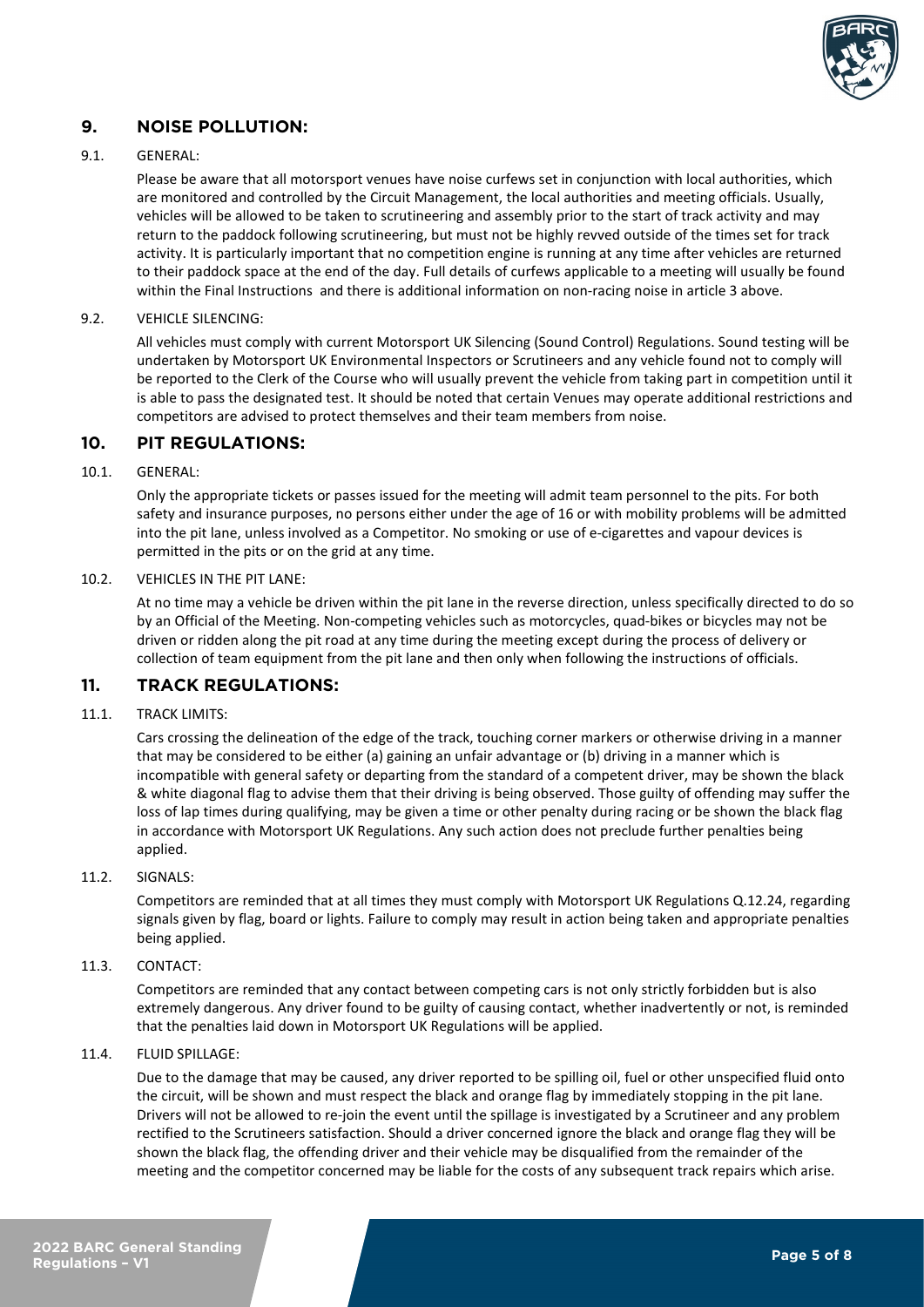

# <span id="page-4-0"></span>**9. NOISE POLLUTION:**

#### <span id="page-4-1"></span>9.1. GENERAL:

Please be aware that all motorsport venues have noise curfews set in conjunction with local authorities, which are monitored and controlled by the Circuit Management, the local authorities and meeting officials. Usually, vehicles will be allowed to be taken to scrutineering and assembly prior to the start of track activity and may return to the paddock following scrutineering, but must not be highly revved outside of the times set for track activity. It is particularly important that no competition engine is running at any time after vehicles are returned to their paddock space at the end of the day. Full details of curfews applicable to a meeting will usually be found within the Final Instructions and there is additional information on non-racing noise in article [3](#page-2-7) above.

#### <span id="page-4-2"></span>9.2. VEHICLE SILENCING:

All vehicles must comply with current Motorsport UK Silencing (Sound Control) Regulations. Sound testing will be undertaken by Motorsport UK Environmental Inspectors or Scrutineers and any vehicle found not to comply will be reported to the Clerk of the Course who will usually prevent the vehicle from taking part in competition until it is able to pass the designated test. It should be noted that certain Venues may operate additional restrictions and competitors are advised to protect themselves and their team members from noise.

# <span id="page-4-3"></span>**10. PIT REGULATIONS:**

#### <span id="page-4-4"></span>10.1. GENERAL:

Only the appropriate tickets or passes issued for the meeting will admit team personnel to the pits. For both safety and insurance purposes, no persons either under the age of 16 or with mobility problems will be admitted into the pit lane, unless involved as a Competitor. No smoking or use of e-cigarettes and vapour devices is permitted in the pits or on the grid at any time.

#### <span id="page-4-5"></span>10.2. VEHICLES IN THE PIT LANE:

At no time may a vehicle be driven within the pit lane in the reverse direction, unless specifically directed to do so by an Official of the Meeting. Non-competing vehicles such as motorcycles, quad-bikes or bicycles may not be driven or ridden along the pit road at any time during the meeting except during the process of delivery or collection of team equipment from the pit lane and then only when following the instructions of officials.

# <span id="page-4-6"></span>**11. TRACK REGULATIONS:**

#### <span id="page-4-7"></span>11.1. TRACK LIMITS:

Cars crossing the delineation of the edge of the track, touching corner markers or otherwise driving in a manner that may be considered to be either (a) gaining an unfair advantage or (b) driving in a manner which is incompatible with general safety or departing from the standard of a competent driver, may be shown the black & white diagonal flag to advise them that their driving is being observed. Those guilty of offending may suffer the loss of lap times during qualifying, may be given a time or other penalty during racing or be shown the black flag in accordance with Motorsport UK Regulations. Any such action does not preclude further penalties being applied.

#### <span id="page-4-8"></span>11.2. SIGNALS:

Competitors are reminded that at all times they must comply with Motorsport UK Regulations Q.12.24, regarding signals given by flag, board or lights. Failure to comply may result in action being taken and appropriate penalties being applied.

#### <span id="page-4-9"></span>11.3. CONTACT:

Competitors are reminded that any contact between competing cars is not only strictly forbidden but is also extremely dangerous. Any driver found to be guilty of causing contact, whether inadvertently or not, is reminded that the penalties laid down in Motorsport UK Regulations will be applied.

#### <span id="page-4-10"></span>11.4. FLUID SPILLAGE:

Due to the damage that may be caused, any driver reported to be spilling oil, fuel or other unspecified fluid onto the circuit, will be shown and must respect the black and orange flag by immediately stopping in the pit lane. Drivers will not be allowed to re-join the event until the spillage is investigated by a Scrutineer and any problem rectified to the Scrutineers satisfaction. Should a driver concerned ignore the black and orange flag they will be shown the black flag, the offending driver and their vehicle may be disqualified from the remainder of the meeting and the competitor concerned may be liable for the costs of any subsequent track repairs which arise.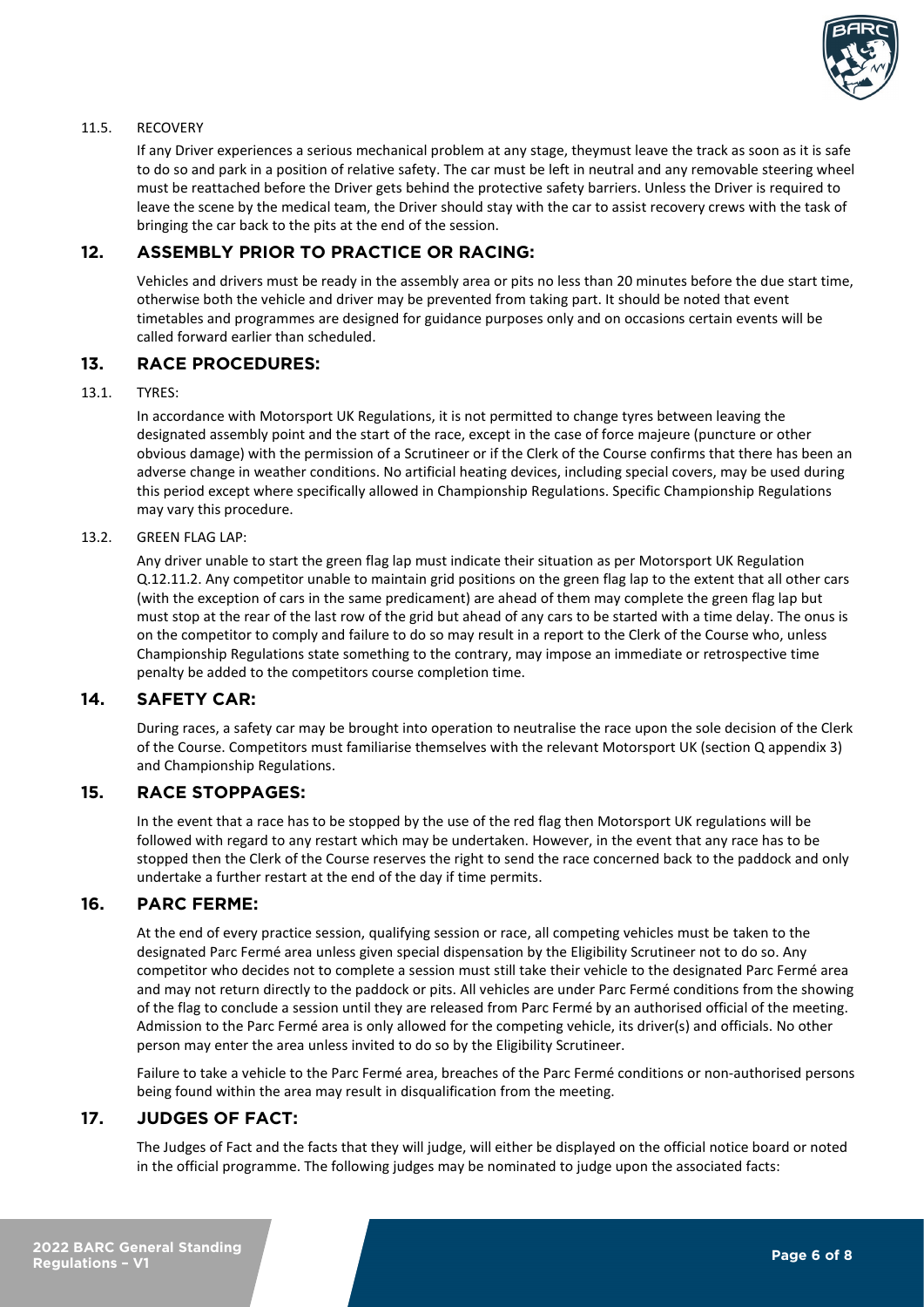

# <span id="page-5-0"></span>11.5. RECOVERY

If any Driver experiences a serious mechanical problem at any stage, theymust leave the track as soon as it is safe to do so and park in a position of relative safety. The car must be left in neutral and any removable steering wheel must be reattached before the Driver gets behind the protective safety barriers. Unless the Driver is required to leave the scene by the medical team, the Driver should stay with the car to assist recovery crews with the task of bringing the car back to the pits at the end of the session.

# <span id="page-5-1"></span>**12. ASSEMBLY PRIOR TO PRACTICE OR RACING:**

Vehicles and drivers must be ready in the assembly area or pits no less than 20 minutes before the due start time, otherwise both the vehicle and driver may be prevented from taking part. It should be noted that event timetables and programmes are designed for guidance purposes only and on occasions certain events will be called forward earlier than scheduled.

# <span id="page-5-2"></span>**13. RACE PROCEDURES:**

#### 13.1. TYRES:

<span id="page-5-3"></span>In accordance with Motorsport UK Regulations, it is not permitted to change tyres between leaving the designated assembly point and the start of the race, except in the case of force majeure (puncture or other obvious damage) with the permission of a Scrutineer or if the Clerk of the Course confirms that there has been an adverse change in weather conditions. No artificial heating devices, including special covers, may be used during this period except where specifically allowed in Championship Regulations. Specific Championship Regulations may vary this procedure.

# <span id="page-5-4"></span>13.2. GREEN FLAG LAP:

Any driver unable to start the green flag lap must indicate their situation as per Motorsport UK Regulation Q.12.11.2. Any competitor unable to maintain grid positions on the green flag lap to the extent that all other cars (with the exception of cars in the same predicament) are ahead of them may complete the green flag lap but must stop at the rear of the last row of the grid but ahead of any cars to be started with a time delay. The onus is on the competitor to comply and failure to do so may result in a report to the Clerk of the Course who, unless Championship Regulations state something to the contrary, may impose an immediate or retrospective time penalty be added to the competitors course completion time.

# <span id="page-5-5"></span>**14. SAFETY CAR:**

During races, a safety car may be brought into operation to neutralise the race upon the sole decision of the Clerk of the Course. Competitors must familiarise themselves with the relevant Motorsport UK (section Q appendix 3) and Championship Regulations.

# <span id="page-5-6"></span>**15. RACE STOPPAGES:**

In the event that a race has to be stopped by the use of the red flag then Motorsport UK regulations will be followed with regard to any restart which may be undertaken. However, in the event that any race has to be stopped then the Clerk of the Course reserves the right to send the race concerned back to the paddock and only undertake a further restart at the end of the day if time permits.

# <span id="page-5-7"></span>**16. PARC FERME:**

At the end of every practice session, qualifying session or race, all competing vehicles must be taken to the designated Parc Fermé area unless given special dispensation by the Eligibility Scrutineer not to do so. Any competitor who decides not to complete a session must still take their vehicle to the designated Parc Fermé area and may not return directly to the paddock or pits. All vehicles are under Parc Fermé conditions from the showing of the flag to conclude a session until they are released from Parc Fermé by an authorised official of the meeting. Admission to the Parc Fermé area is only allowed for the competing vehicle, its driver(s) and officials. No other person may enter the area unless invited to do so by the Eligibility Scrutineer.

Failure to take a vehicle to the Parc Fermé area, breaches of the Parc Fermé conditions or non-authorised persons being found within the area may result in disqualification from the meeting.

# <span id="page-5-8"></span>**17. JUDGES OF FACT:**

The Judges of Fact and the facts that they will judge, will either be displayed on the official notice board or noted in the official programme. The following judges may be nominated to judge upon the associated facts: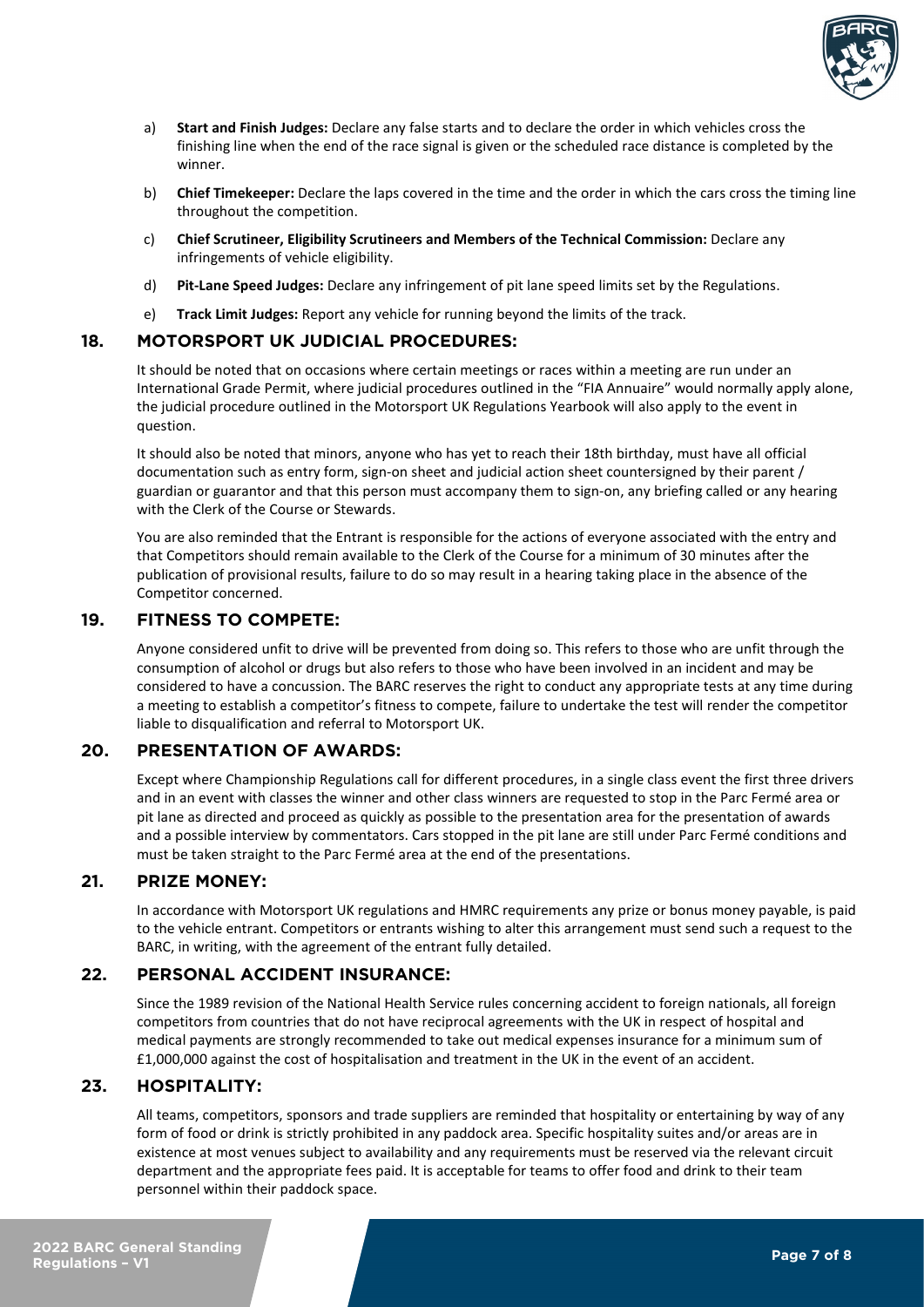

- a) **Start and Finish Judges:** Declare any false starts and to declare the order in which vehicles cross the finishing line when the end of the race signal is given or the scheduled race distance is completed by the winner.
- b) **Chief Timekeeper:** Declare the laps covered in the time and the order in which the cars cross the timing line throughout the competition.
- c) **Chief Scrutineer, Eligibility Scrutineers and Members of the Technical Commission:** Declare any infringements of vehicle eligibility.
- d) **Pit-Lane Speed Judges:** Declare any infringement of pit lane speed limits set by the Regulations.
- e) **Track Limit Judges:** Report any vehicle for running beyond the limits of the track.

# <span id="page-6-0"></span>**18. MOTORSPORT UK JUDICIAL PROCEDURES:**

It should be noted that on occasions where certain meetings or races within a meeting are run under an International Grade Permit, where judicial procedures outlined in the "FIA Annuaire" would normally apply alone, the judicial procedure outlined in the Motorsport UK Regulations Yearbook will also apply to the event in question.

It should also be noted that minors, anyone who has yet to reach their 18th birthday, must have all official documentation such as entry form, sign-on sheet and judicial action sheet countersigned by their parent / guardian or guarantor and that this person must accompany them to sign-on, any briefing called or any hearing with the Clerk of the Course or Stewards.

You are also reminded that the Entrant is responsible for the actions of everyone associated with the entry and that Competitors should remain available to the Clerk of the Course for a minimum of 30 minutes after the publication of provisional results, failure to do so may result in a hearing taking place in the absence of the Competitor concerned.

# <span id="page-6-1"></span>**19. FITNESS TO COMPETE:**

Anyone considered unfit to drive will be prevented from doing so. This refers to those who are unfit through the consumption of alcohol or drugs but also refers to those who have been involved in an incident and may be considered to have a concussion. The BARC reserves the right to conduct any appropriate tests at any time during a meeting to establish a competitor's fitness to compete, failure to undertake the test will render the competitor liable to disqualification and referral to Motorsport UK.

# <span id="page-6-2"></span>**20. PRESENTATION OF AWARDS:**

Except where Championship Regulations call for different procedures, in a single class event the first three drivers and in an event with classes the winner and other class winners are requested to stop in the Parc Fermé area or pit lane as directed and proceed as quickly as possible to the presentation area for the presentation of awards and a possible interview by commentators. Cars stopped in the pit lane are still under Parc Fermé conditions and must be taken straight to the Parc Fermé area at the end of the presentations.

# <span id="page-6-3"></span>**21. PRIZE MONEY:**

In accordance with Motorsport UK regulations and HMRC requirements any prize or bonus money payable, is paid to the vehicle entrant. Competitors or entrants wishing to alter this arrangement must send such a request to the BARC, in writing, with the agreement of the entrant fully detailed.

# <span id="page-6-4"></span>**22. PERSONAL ACCIDENT INSURANCE:**

Since the 1989 revision of the National Health Service rules concerning accident to foreign nationals, all foreign competitors from countries that do not have reciprocal agreements with the UK in respect of hospital and medical payments are strongly recommended to take out medical expenses insurance for a minimum sum of £1,000,000 against the cost of hospitalisation and treatment in the UK in the event of an accident.

# <span id="page-6-5"></span>**23. HOSPITALITY:**

All teams, competitors, sponsors and trade suppliers are reminded that hospitality or entertaining by way of any form of food or drink is strictly prohibited in any paddock area. Specific hospitality suites and/or areas are in existence at most venues subject to availability and any requirements must be reserved via the relevant circuit department and the appropriate fees paid. It is acceptable for teams to offer food and drink to their team personnel within their paddock space.